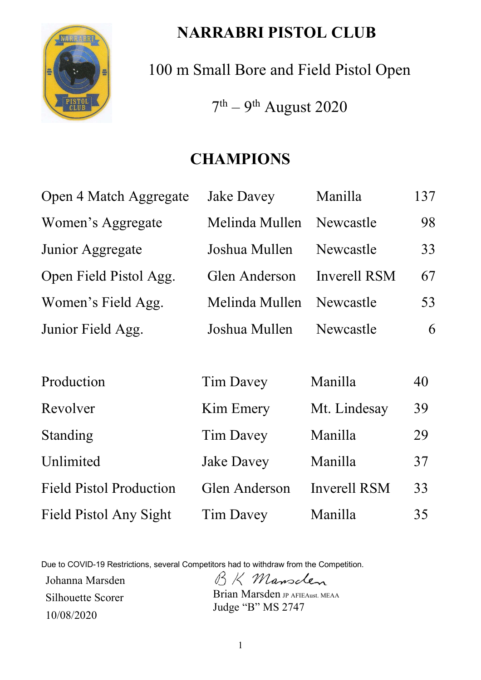

# **NARRABRI PISTOL CLUB**

100 m Small Bore and Field Pistol Open

 $7<sup>th</sup> - 9<sup>th</sup>$  August 2020

# **CHAMPIONS**

| Open 4 Match Aggregate         | Jake Davey        | Manilla             | 137 |
|--------------------------------|-------------------|---------------------|-----|
| Women's Aggregate              | Melinda Mullen    | Newcastle           | 98  |
| Junior Aggregate               | Joshua Mullen     | Newcastle           | 33  |
| Open Field Pistol Agg.         | Glen Anderson     | Inverell RSM        | 67  |
| Women's Field Agg.             | Melinda Mullen    | Newcastle           | 53  |
| Junior Field Agg.              | Joshua Mullen     | Newcastle           | 6   |
|                                |                   |                     |     |
| Production                     | Tim Davey         | Manilla             | 40  |
| Revolver                       | Kim Emery         | Mt. Lindesay        | 39  |
| Standing                       | <b>Tim Davey</b>  | Manilla             | 29  |
| Unlimited                      | <b>Jake Davey</b> | Manilla             | 37  |
| <b>Field Pistol Production</b> | Glen Anderson     | <b>Inverell RSM</b> | 33  |
| Field Pistol Any Sight         | Tim Davey         | Manilla             | 35  |

Due to COVID-19 Restrictions, several Competitors had to withdraw from the Competition.

Johanna Marsden BK Mansclen Silhouette Scorer 10/08/2020

Brian Marsden JP AFIEAust. MEAA Judge "B" MS 2747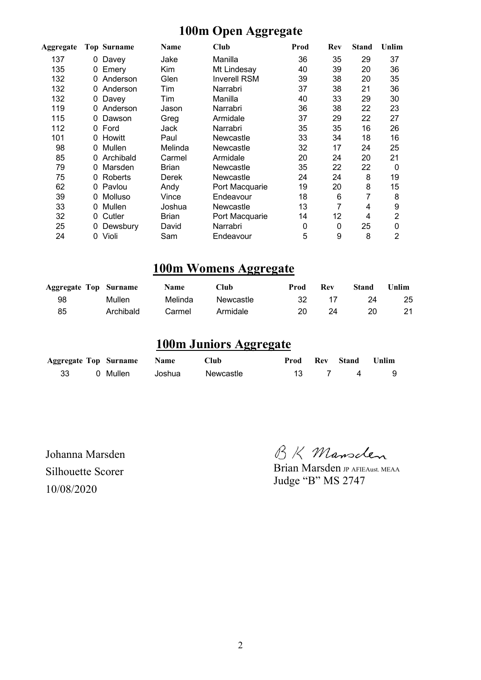## **100m Open Aggregate**

| Aggregate |    | <b>Top Surname</b> | Name    | Club                | Prod | Rev | <b>Stand</b> | Unlim          |
|-----------|----|--------------------|---------|---------------------|------|-----|--------------|----------------|
| 137       | 0  | Davey              | Jake    | Manilla             | 36   | 35  | 29           | 37             |
| 135       |    | Emery              | Kim     | Mt Lindesay         | 40   | 39  | 20           | 36             |
| 132       |    | Anderson           | Glen    | <b>Inverell RSM</b> | 39   | 38  | 20           | 35             |
| 132       | 0  | Anderson           | Tim     | Narrabri            | 37   | 38  | 21           | 36             |
| 132       | 0  | Davey              | Tim     | Manilla             | 40   | 33  | 29           | 30             |
| 119       |    | Anderson           | Jason   | Narrabri            | 36   | 38  | 22           | 23             |
| 115       | 0  | Dawson             | Greg    | Armidale            | 37   | 29  | 22           | 27             |
| 112       | 0. | Ford               | Jack    | Narrabri            | 35   | 35  | 16           | 26             |
| 101       | 0  | Howitt             | Paul    | Newcastle           | 33   | 34  | 18           | 16             |
| 98        | 0  | Mullen             | Melinda | Newcastle           | 32   | 17  | 24           | 25             |
| 85        | 0. | Archibald          | Carmel  | Armidale            | 20   | 24  | 20           | 21             |
| 79        | 0  | Marsden            | Brian   | Newcastle           | 35   | 22  | 22           | $\mathbf{0}$   |
| 75        | 0. | Roberts            | Derek   | Newcastle           | 24   | 24  | 8            | 19             |
| 62        | 0  | Pavlou             | Andy    | Port Macquarie      | 19   | 20  | 8            | 15             |
| 39        | 0  | Molluso            | Vince   | Endeavour           | 18   | 6   | 7            | 8              |
| 33        | 0  | Mullen             | Joshua  | Newcastle           | 13   | 7   | 4            | 9              |
| 32        | 0  | Cutler             | Brian   | Port Macquarie      | 14   | 12  | 4            | $\overline{2}$ |
| 25        | 0  | Dewsbury           | David   | Narrabri            | 0    | 0   | 25           | 0              |
| 24        | 0  | Violi              | Sam     | Endeavour           | 5    | 9   | 8            | $\overline{2}$ |

#### **100m Womens Aggregate**

| <b>Aggregate Top Surname</b> |           | <b>Name</b> | Club      | Prod | Rev | Stand | 'Jnlim ∣ |
|------------------------------|-----------|-------------|-----------|------|-----|-------|----------|
| 98                           | Mullen    | Melinda     | Newcastle | 32   |     | 24    | 25       |
| 85                           | Archibald | Carmel      | Armidale  | 20   | 24  | 20.   |          |

## **100m Juniors Aggregate**

|  | <b>Aggregate Top Surname Name</b> |        | Club      |  | <b>Prod Rev Stand Unlim</b> |  |
|--|-----------------------------------|--------|-----------|--|-----------------------------|--|
|  | 0 Mullen                          | Joshua | Newcastle |  | 13 7 4 9                    |  |

Silhouette Scorer 10/08/2020

Johanna Marsden BK Mansclen

Brian Marsden JP AFIEAust. MEAA Judge "B" MS 2747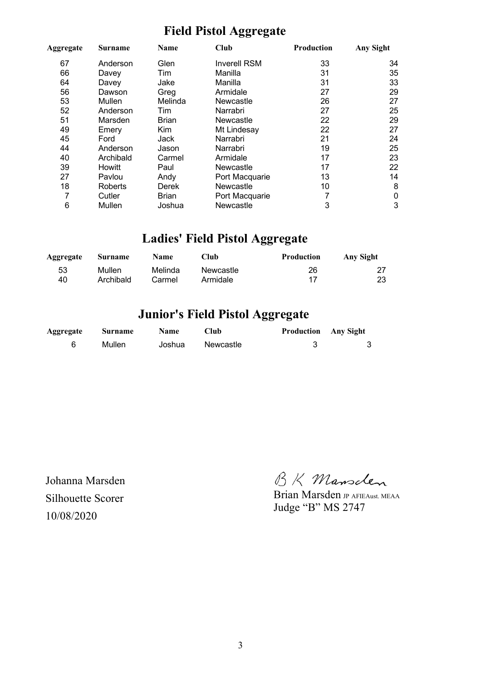## **Field Pistol Aggregate**

| Aggregate | Surname   | Name         | <b>Club</b>         | Production | Any Sight |
|-----------|-----------|--------------|---------------------|------------|-----------|
| 67        | Anderson  | Glen         | <b>Inverell RSM</b> | 33         | 34        |
| 66        | Davey     | Tim          | Manilla             | 31         | 35        |
| 64        | Davey     | Jake         | Manilla             | 31         | 33        |
| 56        | Dawson    | Greg         | Armidale            | 27         | 29        |
| 53        | Mullen    | Melinda      | Newcastle           | 26         | 27        |
| 52        | Anderson  | Tim          | Narrabri            | 27         | 25        |
| 51        | Marsden   | <b>Brian</b> | Newcastle           | 22         | 29        |
| 49        | Emery     | Kim          | Mt Lindesay         | 22         | 27        |
| 45        | Ford      | Jack         | Narrabri            | 21         | 24        |
| 44        | Anderson  | Jason        | Narrabri            | 19         | 25        |
| 40        | Archibald | Carmel       | Armidale            | 17         | 23        |
| 39        | Howitt    | Paul         | Newcastle           | 17         | 22        |
| 27        | Pavlou    | Andy         | Port Macquarie      | 13         | 14        |
| 18        | Roberts   | <b>Derek</b> | Newcastle           | 10         | 8         |
| 7         | Cutler    | <b>Brian</b> | Port Macquarie      |            | 0         |
| 6         | Mullen    | Joshua       | Newcastle           | 3          | 3         |

# **Ladies' Field Pistol Aggregate**

| Aggregate | Surname   | <b>Name</b> | Club      | Production | Any Sight |
|-----------|-----------|-------------|-----------|------------|-----------|
| 53        | Mullen    | Melinda     | Newcastle | 26         | 23        |
| 40        | Archibald | Carmel      | Armidale  | 17         |           |

## **Junior's Field Pistol Aggregate**

| Aggregate | <b>Surname</b> | <b>Name</b> | ⊡ub       | <b>Production</b> Any Sight |   |
|-----------|----------------|-------------|-----------|-----------------------------|---|
| 6         | Mullen         | Joshua      | Newcastle |                             | 3 |

Johanna Marsden Silhouette Scorer 10/08/2020

BK Mansclen

Brian Marsden JP AFIEAust. MEAA Judge "B" MS 2747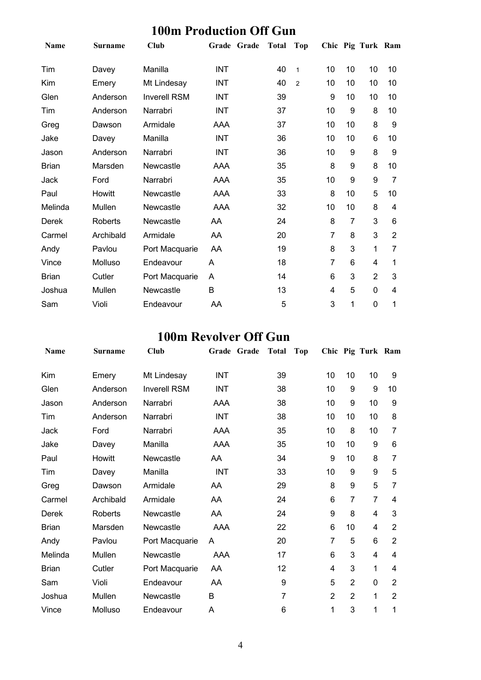## **100m Production Off Gun**

| <b>Name</b>  | <b>Surname</b> | Club                | Grade Grade | <b>Total</b> | <b>Top</b>     |    |    | Chic Pig Turk Ram |                |
|--------------|----------------|---------------------|-------------|--------------|----------------|----|----|-------------------|----------------|
| Tim          | Davey          | Manilla             | <b>INT</b>  | 40           | $\mathbf{1}$   | 10 | 10 | 10                | 10             |
| Kim          | Emery          | Mt Lindesay         | <b>INT</b>  | 40           | $\overline{2}$ | 10 | 10 | 10                | 10             |
| Glen         | Anderson       | <b>Inverell RSM</b> | INT         | 39           |                | 9  | 10 | 10                | 10             |
| Tim          | Anderson       | Narrabri            | <b>INT</b>  | 37           |                | 10 | 9  | 8                 | 10             |
| Greg         | Dawson         | Armidale            | AAA         | 37           |                | 10 | 10 | 8                 | 9              |
| Jake         | Davey          | Manilla             | INT         | 36           |                | 10 | 10 | 6                 | 10             |
| Jason        | Anderson       | Narrabri            | <b>INT</b>  | 36           |                | 10 | 9  | 8                 | 9              |
| <b>Brian</b> | Marsden        | Newcastle           | AAA         | 35           |                | 8  | 9  | 8                 | 10             |
| Jack         | Ford           | Narrabri            | AAA         | 35           |                | 10 | 9  | 9                 | 7              |
| Paul         | Howitt         | Newcastle           | AAA         | 33           |                | 8  | 10 | 5                 | 10             |
| Melinda      | Mullen         | Newcastle           | AAA         | 32           |                | 10 | 10 | 8                 | 4              |
| Derek        | Roberts        | Newcastle           | AA          | 24           |                | 8  | 7  | 3                 | 6              |
| Carmel       | Archibald      | Armidale            | AA          | 20           |                | 7  | 8  | 3                 | $\overline{2}$ |
| Andy         | Pavlou         | Port Macquarie      | AA          | 19           |                | 8  | 3  | 1                 | 7              |
| Vince        | Molluso        | Endeavour           | A           | 18           |                | 7  | 6  | 4                 | 1              |
| <b>Brian</b> | Cutler         | Port Macquarie      | A           | 14           |                | 6  | 3  | $\overline{2}$    | 3              |
| Joshua       | Mullen         | Newcastle           | B           | 13           |                | 4  | 5  | 0                 | 4              |
| Sam          | Violi          | Endeavour           | AA          | 5            |                | 3  | 1  | 0                 | 1              |

## **100m Revolver Off Gun**

| Name         | <b>Surname</b> | <b>Club</b>         |            | Grade Grade | <b>Total</b> | <b>Top</b> |                  |                | Chic Pig Turk Ram |                |
|--------------|----------------|---------------------|------------|-------------|--------------|------------|------------------|----------------|-------------------|----------------|
| Kim          | Emery          | Mt Lindesay         | <b>INT</b> |             | 39           |            | 10               | 10             | 10                | 9              |
| Glen         | Anderson       | <b>Inverell RSM</b> | <b>INT</b> |             | 38           |            | 10               | 9              | 9                 | 10             |
| Jason        | Anderson       | Narrabri            | AAA        |             | 38           |            | 10               | 9              | 10                | 9              |
| Tim          | Anderson       | Narrabri            | INT        |             | 38           |            | 10               | 10             | 10                | 8              |
| Jack         | Ford           | Narrabri            | AAA        |             | 35           |            | 10               | 8              | 10                | 7              |
| Jake         | Davey          | Manilla             | AAA        |             | 35           |            | 10               | 10             | 9                 | 6              |
| Paul         | Howitt         | Newcastle           | AA         |             | 34           |            | $\boldsymbol{9}$ | 10             | 8                 | 7              |
| Tim          | Davey          | Manilla             | <b>INT</b> |             | 33           |            | 10               | 9              | 9                 | 5              |
| Greg         | Dawson         | Armidale            | AA         |             | 29           |            | 8                | 9              | 5                 | 7              |
| Carmel       | Archibald      | Armidale            | AA         |             | 24           |            | 6                | $\overline{7}$ | $\overline{7}$    | 4              |
| Derek        | <b>Roberts</b> | Newcastle           | AA         |             | 24           |            | 9                | 8              | 4                 | 3              |
| <b>Brian</b> | Marsden        | Newcastle           | AAA        |             | 22           |            | 6                | 10             | 4                 | 2              |
| Andy         | Pavlou         | Port Macquarie      | A          |             | 20           |            | 7                | 5              | 6                 | $\overline{2}$ |
| Melinda      | Mullen         | Newcastle           | AAA        |             | 17           |            | 6                | 3              | 4                 | 4              |
| <b>Brian</b> | Cutler         | Port Macquarie      | AA         |             | 12           |            | 4                | 3              | 1                 | $\overline{4}$ |
| Sam          | Violi          | Endeavour           | AA         |             | 9            |            | 5                | $\overline{2}$ | $\mathbf 0$       | $\overline{2}$ |
| Joshua       | Mullen         | Newcastle           | B          |             | 7            |            | $\overline{2}$   | $\overline{2}$ | 1                 | $\overline{2}$ |
| Vince        | Molluso        | Endeavour           | Α          |             | 6            |            | 1                | 3              | 1                 | 1              |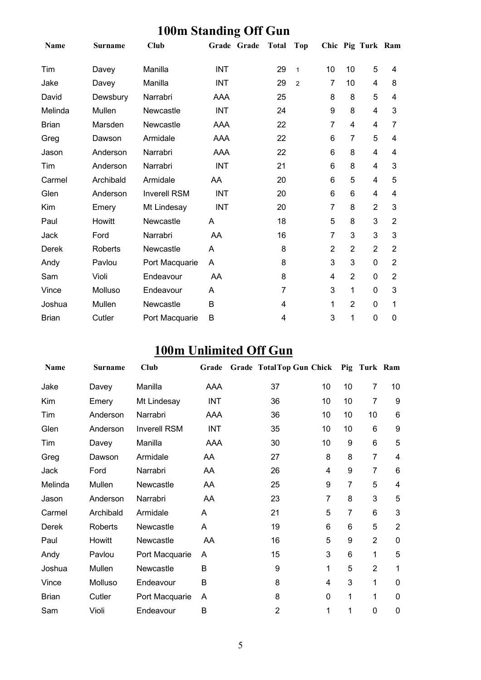| Name         | <b>Surname</b> | <b>Club</b>         | Grade Grade | <b>Total</b> | <b>Top</b>     |                |                         | Chic Pig Turk Ram |                |
|--------------|----------------|---------------------|-------------|--------------|----------------|----------------|-------------------------|-------------------|----------------|
| Tim          | Davey          | Manilla             | <b>INT</b>  | 29           | $\mathbf{1}$   | 10             | 10                      | 5                 | 4              |
| Jake         | Davey          | Manilla             | <b>INT</b>  | 29           | $\overline{2}$ | 7              | 10                      | 4                 | 8              |
| David        | Dewsbury       | Narrabri            | AAA         | 25           |                | 8              | 8                       | 5                 | 4              |
| Melinda      | Mullen         | Newcastle           | <b>INT</b>  | 24           |                | 9              | 8                       | 4                 | 3              |
| <b>Brian</b> | Marsden        | Newcastle           | AAA         | 22           |                | 7              | $\overline{\mathbf{4}}$ | 4                 | 7              |
| Greg         | Dawson         | Armidale            | AAA         | 22           |                | 6              | 7                       | 5                 | 4              |
| Jason        | Anderson       | Narrabri            | AAA         | 22           |                | 6              | 8                       | 4                 | 4              |
| Tim          | Anderson       | Narrabri            | <b>INT</b>  | 21           |                | 6              | 8                       | 4                 | 3              |
| Carmel       | Archibald      | Armidale            | AA          | 20           |                | 6              | 5                       | 4                 | 5              |
| Glen         | Anderson       | <b>Inverell RSM</b> | <b>INT</b>  | 20           |                | 6              | 6                       | 4                 | 4              |
| Kim          | Emery          | Mt Lindesay         | INT         | 20           |                | $\overline{7}$ | 8                       | $\overline{2}$    | 3              |
| Paul         | Howitt         | Newcastle           | A           | 18           |                | 5              | 8                       | 3                 | $\overline{2}$ |
| Jack         | Ford           | Narrabri            | AA          | 16           |                | 7              | 3                       | 3                 | 3              |
| <b>Derek</b> | <b>Roberts</b> | Newcastle           | A           | 8            |                | 2              | $\overline{2}$          | $\overline{2}$    | $\overline{2}$ |
| Andy         | Pavlou         | Port Macquarie      | Α           | 8            |                | 3              | 3                       | $\Omega$          | $\overline{2}$ |
| Sam          | Violi          | Endeavour           | AA          | 8            |                | 4              | $\overline{2}$          | 0                 | $\overline{2}$ |
| Vince        | Molluso        | Endeavour           | A           | 7            |                | 3              | 1                       | 0                 | 3              |
| Joshua       | Mullen         | Newcastle           | B           | 4            |                | 1              | $\overline{2}$          | $\mathbf{0}$      | 1              |
| <b>Brian</b> | Cutler         | Port Macquarie      | B           | 4            |                | 3              | 1                       | 0                 | 0              |

#### **100m Standing Off Gun**

# **100m Unlimited Off Gun**

| <b>Name</b>  | <b>Surname</b> | Club                | Grade      | Grade TotalTop Gun Chick Pig Turk Ram |                |    |                |                  |
|--------------|----------------|---------------------|------------|---------------------------------------|----------------|----|----------------|------------------|
| Jake         | Davey          | Manilla             | AAA        | 37                                    | 10             | 10 | $\overline{7}$ | 10               |
| Kim          | Emery          | Mt Lindesay         | <b>INT</b> | 36                                    | 10             | 10 | $\overline{7}$ | 9                |
| Tim          | Anderson       | Narrabri            | AAA        | 36                                    | 10             | 10 | 10             | 6                |
| Glen         | Anderson       | <b>Inverell RSM</b> | <b>INT</b> | 35                                    | 10             | 10 | 6              | $\boldsymbol{9}$ |
| Tim          | Davey          | Manilla             | <b>AAA</b> | 30                                    | 10             | 9  | 6              | 5                |
| Greg         | Dawson         | Armidale            | AA         | 27                                    | 8              | 8  | $\overline{7}$ | $\overline{4}$   |
| Jack         | Ford           | Narrabri            | AA         | 26                                    | 4              | 9  | $\overline{7}$ | $6\phantom{1}6$  |
| Melinda      | Mullen         | Newcastle           | AA         | 25                                    | 9              | 7  | 5              | $\overline{4}$   |
| Jason        | Anderson       | Narrabri            | AA         | 23                                    | $\overline{7}$ | 8  | 3              | 5                |
| Carmel       | Archibald      | Armidale            | A          | 21                                    | 5              | 7  | 6              | 3                |
| Derek        | Roberts        | Newcastle           | A          | 19                                    | 6              | 6  | 5              | $\overline{2}$   |
| Paul         | Howitt         | Newcastle           | AA         | 16                                    | 5              | 9  | 2              | $\mathbf 0$      |
| Andy         | Pavlou         | Port Macquarie      | A          | 15                                    | 3              | 6  | 1              | 5                |
| Joshua       | Mullen         | Newcastle           | B          | 9                                     | 1              | 5  | $\overline{2}$ | 1                |
| Vince        | Molluso        | Endeavour           | B          | 8                                     | 4              | 3  | 1              | $\mathbf 0$      |
| <b>Brian</b> | Cutler         | Port Macquarie      | A          | 8                                     | 0              | 1  | 1              | $\mathbf 0$      |
| Sam          | Violi          | Endeavour           | B          | $\overline{2}$                        | 1              | 1  | 0              | 0                |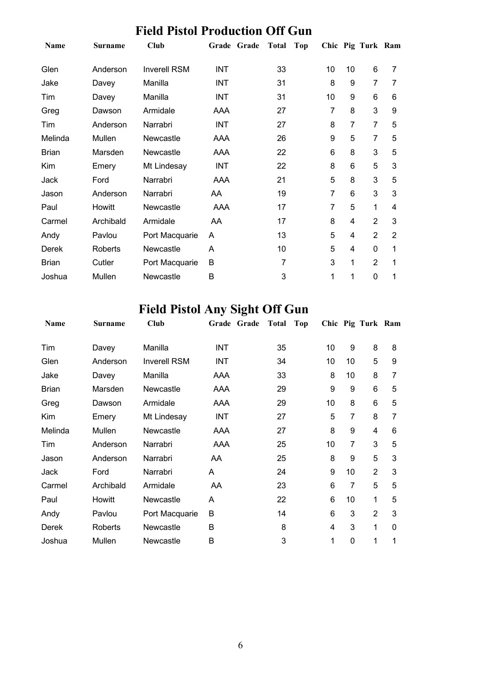|              |                | <b>Field Pistol Production Off Gun</b> |             |                     |    |                |                   |                |
|--------------|----------------|----------------------------------------|-------------|---------------------|----|----------------|-------------------|----------------|
| <b>Name</b>  | <b>Surname</b> | Club                                   | Grade Grade | <b>Total</b><br>Top |    |                | Chic Pig Turk Ram |                |
| Glen         | Anderson       | <b>Inverell RSM</b>                    | INT         | 33                  | 10 | 10             | 6                 | 7              |
| Jake         | Davey          | Manilla                                | INT         | 31                  | 8  | 9              | $\overline{7}$    | 7              |
| Tim          | Davey          | Manilla                                | <b>INT</b>  | 31                  | 10 | 9              | 6                 | 6              |
| Greg         | Dawson         | Armidale                               | AAA         | 27                  | 7  | 8              | 3                 | 9              |
| Tim          | Anderson       | Narrabri                               | <b>INT</b>  | 27                  | 8  | $\overline{7}$ | $\overline{7}$    | 5              |
| Melinda      | Mullen         | Newcastle                              | AAA         | 26                  | 9  | 5              | $\overline{7}$    | 5              |
| <b>Brian</b> | Marsden        | Newcastle                              | AAA         | 22                  | 6  | 8              | 3                 | 5              |
| Kim          | Emery          | Mt Lindesay                            | <b>INT</b>  | 22                  | 8  | 6              | 5                 | 3              |
| Jack         | Ford           | Narrabri                               | AAA         | 21                  | 5  | 8              | 3                 | 5              |
| Jason        | Anderson       | Narrabri                               | AA          | 19                  | 7  | 6              | 3                 | 3              |
| Paul         | Howitt         | Newcastle                              | AAA         | 17                  | 7  | 5              | 1                 | 4              |
| Carmel       | Archibald      | Armidale                               | AA          | 17                  | 8  | 4              | $\overline{2}$    | 3              |
| Andy         | Pavlou         | Port Macquarie                         | A           | 13                  | 5  | 4              | $\overline{2}$    | $\overline{2}$ |
| Derek        | <b>Roberts</b> | Newcastle                              | A           | 10                  | 5  | 4              | $\mathbf 0$       | 1              |
| <b>Brian</b> | Cutler         | Port Macquarie                         | B           | 7                   | 3  | 1              | $\overline{2}$    | 1              |
| Joshua       | Mullen         | Newcastle                              | B           | 3                   | 1  | 1              | $\mathbf 0$       | 1              |

# **Field Pistol Any Sight Off Gun**

| Name         | <b>Surname</b> | Club                | Grade Grade | <b>Total</b> | Top |    |                | Chic Pig Turk Ram |   |
|--------------|----------------|---------------------|-------------|--------------|-----|----|----------------|-------------------|---|
| Tim          | Davey          | Manilla             | <b>INT</b>  | 35           |     | 10 | 9              | 8                 | 8 |
| Glen         | Anderson       | <b>Inverell RSM</b> | <b>INT</b>  | 34           |     | 10 | 10             | 5                 | 9 |
| Jake         | Davey          | Manilla             | AAA         | 33           |     | 8  | 10             | 8                 | 7 |
| <b>Brian</b> | Marsden        | Newcastle           | AAA         | 29           |     | 9  | 9              | 6                 | 5 |
| Greg         | Dawson         | Armidale            | AAA         | 29           |     | 10 | 8              | 6                 | 5 |
| Kim          | Emery          | Mt Lindesay         | <b>INT</b>  | 27           |     | 5  | 7              | 8                 | 7 |
| Melinda      | Mullen         | Newcastle           | AAA         | 27           |     | 8  | 9              | 4                 | 6 |
| Tim          | Anderson       | Narrabri            | AAA         | 25           |     | 10 | $\overline{7}$ | 3                 | 5 |
| Jason        | Anderson       | Narrabri            | AA          | 25           |     | 8  | 9              | 5                 | 3 |
| Jack         | Ford           | Narrabri            | A           | 24           |     | 9  | 10             | $\overline{2}$    | 3 |
| Carmel       | Archibald      | Armidale            | AA          | 23           |     | 6  | 7              | 5                 | 5 |
| Paul         | Howitt         | Newcastle           | A           | 22           |     | 6  | 10             | 1                 | 5 |
| Andy         | Pavlou         | Port Macquarie      | B           | 14           |     | 6  | 3              | $\overline{2}$    | 3 |
| Derek        | Roberts        | Newcastle           | B           | 8            |     | 4  | 3              | 1                 | 0 |
| Joshua       | Mullen         | Newcastle           | B           | 3            |     | 1  | 0              | 1                 | 1 |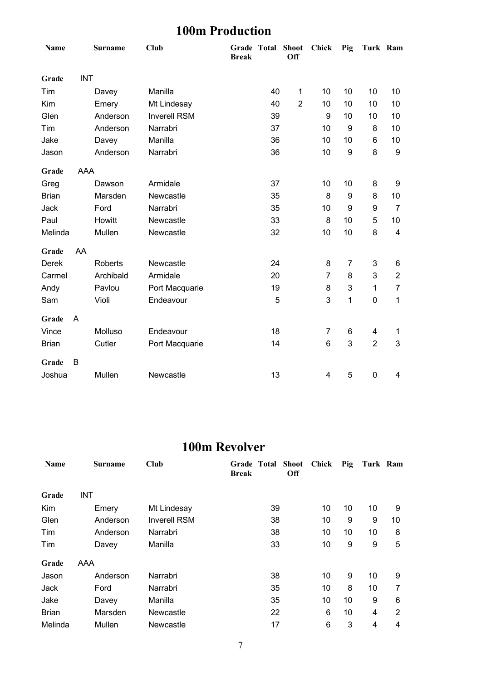## **100m Production**

| Name         |            | <b>Surname</b> | <b>Club</b>         | <b>Break</b> | Grade Total | <b>Shoot</b><br>Off | <b>Chick</b>   | Pig | Turk Ram       |                |
|--------------|------------|----------------|---------------------|--------------|-------------|---------------------|----------------|-----|----------------|----------------|
| Grade        | <b>INT</b> |                |                     |              |             |                     |                |     |                |                |
| Tim          |            | Davey          | Manilla             |              | 40          | $\mathbf 1$         | 10             | 10  | 10             | 10             |
| Kim          |            | Emery          | Mt Lindesay         |              | 40          | $\overline{2}$      | 10             | 10  | 10             | 10             |
| Glen         |            | Anderson       | <b>Inverell RSM</b> |              | 39          |                     | 9              | 10  | 10             | 10             |
| Tim          |            | Anderson       | Narrabri            |              | 37          |                     | 10             | 9   | 8              | 10             |
| Jake         |            | Davey          | Manilla             |              | 36          |                     | 10             | 10  | 6              | 10             |
| Jason        |            | Anderson       | Narrabri            |              | 36          |                     | 10             | 9   | 8              | 9              |
| Grade        | <b>AAA</b> |                |                     |              |             |                     |                |     |                |                |
| Greg         |            | Dawson         | Armidale            |              | 37          |                     | 10             | 10  | 8              | 9              |
| <b>Brian</b> |            | Marsden        | Newcastle           |              | 35          |                     | 8              | 9   | 8              | 10             |
| Jack         |            | Ford           | Narrabri            |              | 35          |                     | 10             | 9   | 9              | $\overline{7}$ |
| Paul         |            | Howitt         | Newcastle           |              | 33          |                     | 8              | 10  | 5              | 10             |
| Melinda      |            | Mullen         | Newcastle           |              | 32          |                     | 10             | 10  | 8              | 4              |
| Grade        | AA         |                |                     |              |             |                     |                |     |                |                |
| Derek        |            | <b>Roberts</b> | Newcastle           |              | 24          |                     | 8              | 7   | 3              | 6              |
| Carmel       |            | Archibald      | Armidale            |              | 20          |                     | $\overline{7}$ | 8   | 3              | $\overline{2}$ |
| Andy         |            | Pavlou         | Port Macquarie      |              | 19          |                     | 8              | 3   | $\mathbf{1}$   | $\overline{7}$ |
| Sam          |            | Violi          | Endeavour           |              | 5           |                     | 3              | 1   | 0              | 1              |
| Grade        | A          |                |                     |              |             |                     |                |     |                |                |
| Vince        |            | Molluso        | Endeavour           |              | 18          |                     | 7              | 6   | 4              | 1              |
| <b>Brian</b> |            | Cutler         | Port Macquarie      |              | 14          |                     | 6              | 3   | $\overline{2}$ | 3              |
| Grade        | B          |                |                     |              |             |                     |                |     |                |                |
| Joshua       |            | Mullen         | Newcastle           |              | 13          |                     | 4              | 5   | $\mathbf 0$    | 4              |

#### **100m Revolver**

| <b>Name</b>  | Surname    | Club                | <b>Grade Total Shoot</b><br><b>Off</b><br><b>Break</b> | Chick | Pig | Turk Ram |    |
|--------------|------------|---------------------|--------------------------------------------------------|-------|-----|----------|----|
| Grade        | <b>INT</b> |                     |                                                        |       |     |          |    |
| Kim          | Emery      | Mt Lindesay         | 39                                                     | 10    | 10  | 10       | 9  |
| Glen         | Anderson   | <b>Inverell RSM</b> | 38                                                     | 10    | 9   | 9        | 10 |
| Tim          | Anderson   | Narrabri            | 38                                                     | 10    | 10  | 10       | 8  |
| Tim          | Davey      | Manilla             | 33                                                     | 10    | 9   | 9        | 5  |
| Grade        | AAA        |                     |                                                        |       |     |          |    |
| Jason        | Anderson   | Narrabri            | 38                                                     | 10    | 9   | 10       | 9  |
| Jack         | Ford       | Narrabri            | 35                                                     | 10    | 8   | 10       | 7  |
| Jake         | Davey      | Manilla             | 35                                                     | 10    | 10  | 9        | 6  |
| <b>Brian</b> | Marsden    | Newcastle           | 22                                                     | 6     | 10  | 4        | 2  |
| Melinda      | Mullen     | Newcastle           | 17                                                     | 6     | 3   | 4        | 4  |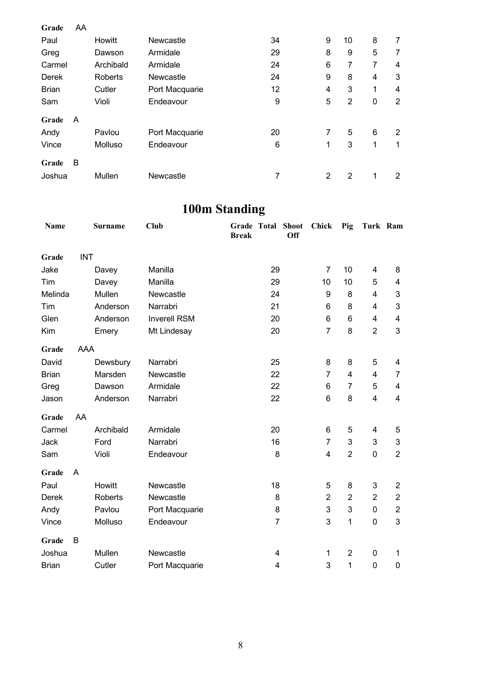| Grade        | AA |                |                |    |   |                |              |                |
|--------------|----|----------------|----------------|----|---|----------------|--------------|----------------|
| Paul         |    | <b>Howitt</b>  | Newcastle      | 34 | 9 | 10             | 8            | 7              |
| Greg         |    | Dawson         | Armidale       | 29 | 8 | 9              | 5            | 7              |
| Carmel       |    | Archibald      | Armidale       | 24 | 6 | 7              | 7            | 4              |
| <b>Derek</b> |    | <b>Roberts</b> | Newcastle      | 24 | 9 | 8              | 4            | 3              |
| <b>Brian</b> |    | Cutler         | Port Macquarie | 12 | 4 | 3              | $\mathbf{1}$ | 4              |
| Sam          |    | Violi          | Endeavour      | 9  | 5 | $\overline{2}$ | 0            | $\overline{2}$ |
| Grade        | A  |                |                |    |   |                |              |                |
| Andy         |    | Pavlou         | Port Macquarie | 20 | 7 | 5              | 6            | 2              |
| Vince        |    | Molluso        | Endeavour      | 6  | 1 | 3              | 1            | 1              |
| Grade        | B  |                |                |    |   |                |              |                |
| Joshua       |    | Mullen         | Newcastle      | 7  | 2 | 2              | 1            | 2              |

# **100m Standing**

| Name         |            | <b>Surname</b> | <b>Club</b>         | <b>Break</b> | <b>Grade Total Shoot</b> | <b>Off</b> | <b>Chick</b>   | Pig            | Turk Ram                |                           |
|--------------|------------|----------------|---------------------|--------------|--------------------------|------------|----------------|----------------|-------------------------|---------------------------|
| Grade        | <b>INT</b> |                |                     |              |                          |            |                |                |                         |                           |
| Jake         |            | Davey          | Manilla             |              | 29                       |            | $\overline{7}$ | 10             | 4                       | 8                         |
| Tim          |            | Davey          | Manilla             |              | 29                       |            | 10             | 10             | 5                       | 4                         |
| Melinda      |            | Mullen         | Newcastle           |              | 24                       |            | 9              | 8              | $\overline{\mathbf{4}}$ | $\mathbf{3}$              |
| Tim          |            | Anderson       | Narrabri            |              | 21                       |            | 6              | 8              | 4                       | 3                         |
| Glen         |            | Anderson       | <b>Inverell RSM</b> |              | 20                       |            | 6              | 6              | 4                       | $\overline{\mathbf{4}}$   |
| Kim          |            | Emery          | Mt Lindesay         |              | 20                       |            | $\overline{7}$ | 8              | $\overline{2}$          | 3                         |
| Grade        | AAA        |                |                     |              |                          |            |                |                |                         |                           |
| David        |            | Dewsbury       | Narrabri            |              | 25                       |            | 8              | 8              | 5                       | 4                         |
| <b>Brian</b> |            | Marsden        | Newcastle           |              | 22                       |            | $\overline{7}$ | 4              | 4                       | $\overline{7}$            |
| Greg         |            | Dawson         | Armidale            |              | 22                       |            | 6              | $\overline{7}$ | 5                       | $\overline{\mathbf{4}}$   |
| Jason        |            | Anderson       | Narrabri            |              | 22                       |            | 6              | 8              | $\overline{4}$          | $\overline{\mathbf{4}}$   |
| Grade        | AA         |                |                     |              |                          |            |                |                |                         |                           |
| Carmel       |            | Archibald      | Armidale            |              | 20                       |            | 6              | 5              | 4                       | $\overline{5}$            |
| Jack         |            | Ford           | Narrabri            |              | 16                       |            | $\overline{7}$ | 3              | 3                       | $\ensuremath{\mathsf{3}}$ |
| Sam          |            | Violi          | Endeavour           |              | 8                        |            | 4              | $\overline{2}$ | $\mathbf 0$             | $\overline{2}$            |
| Grade        | A          |                |                     |              |                          |            |                |                |                         |                           |
| Paul         |            | Howitt         | Newcastle           |              | 18                       |            | 5              | 8              | 3                       | $\overline{2}$            |
| <b>Derek</b> |            | <b>Roberts</b> | Newcastle           |              | 8                        |            | $\overline{2}$ | $\overline{2}$ | $\overline{2}$          | $\overline{2}$            |
| Andy         |            | Pavlou         | Port Macquarie      |              | 8                        |            | 3              | 3              | 0                       | $\sqrt{2}$                |
| Vince        |            | Molluso        | Endeavour           |              | $\overline{7}$           |            | 3              | 1              | $\mathbf 0$             | 3                         |
| Grade        | B          |                |                     |              |                          |            |                |                |                         |                           |
| Joshua       |            | Mullen         | Newcastle           |              | 4                        |            | 1              | $\overline{2}$ | 0                       | 1                         |
| <b>Brian</b> |            | Cutler         | Port Macquarie      |              | 4                        |            | 3              | $\mathbf{1}$   | $\mathbf 0$             | $\mathbf 0$               |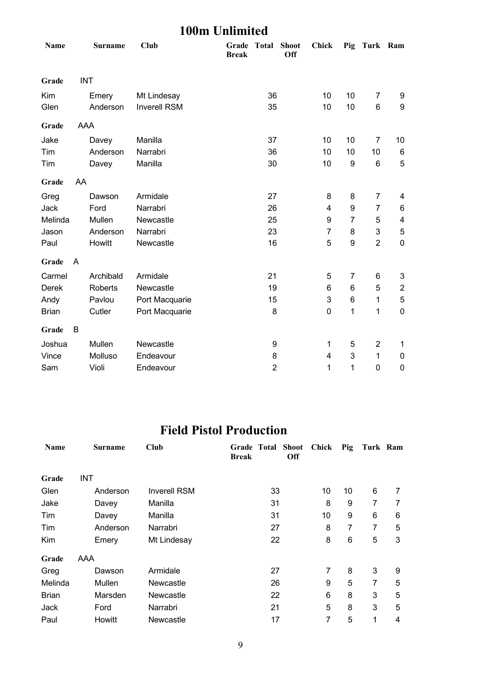## **100m Unlimited**

| Name         |            | <b>Surname</b> | <b>Club</b>         | Grade<br><b>Break</b> | Total            | <b>Shoot</b><br>Off | Chick            |                  | Pig Turk Ram   |                         |
|--------------|------------|----------------|---------------------|-----------------------|------------------|---------------------|------------------|------------------|----------------|-------------------------|
| Grade        | <b>INT</b> |                |                     |                       |                  |                     |                  |                  |                |                         |
| Kim          |            | Emery          | Mt Lindesay         |                       | 36               |                     | 10               | 10               | $\overline{7}$ | 9                       |
| Glen         |            | Anderson       | <b>Inverell RSM</b> |                       | 35               |                     | 10               | 10               | $\,6$          | $\boldsymbol{9}$        |
| Grade        | AAA        |                |                     |                       |                  |                     |                  |                  |                |                         |
| Jake         |            | Davey          | Manilla             |                       | 37               |                     | 10               | 10               | 7              | 10                      |
| Tim          |            | Anderson       | Narrabri            |                       | 36               |                     | 10               | 10               | 10             | 6                       |
| Tim          |            | Davey          | Manilla             |                       | 30               |                     | 10               | $\boldsymbol{9}$ | $\,6$          | 5                       |
| Grade        | AA         |                |                     |                       |                  |                     |                  |                  |                |                         |
| Greg         |            | Dawson         | Armidale            |                       | 27               |                     | 8                | 8                | 7              | 4                       |
| Jack         |            | Ford           | Narrabri            |                       | 26               |                     | 4                | $\boldsymbol{9}$ | $\overline{7}$ | 6                       |
| Melinda      |            | Mullen         | Newcastle           |                       | 25               |                     | 9                | $\overline{7}$   | 5              | $\overline{\mathbf{4}}$ |
| Jason        |            | Anderson       | Narrabri            |                       | 23               |                     | $\overline{7}$   | 8                | 3              | $\mathbf 5$             |
| Paul         |            | Howitt         | Newcastle           |                       | 16               |                     | 5                | 9                | $\overline{2}$ | $\mathbf 0$             |
| Grade        | A          |                |                     |                       |                  |                     |                  |                  |                |                         |
| Carmel       |            | Archibald      | Armidale            |                       | 21               |                     | 5                | $\overline{7}$   | 6              | 3                       |
| <b>Derek</b> |            | <b>Roberts</b> | Newcastle           |                       | 19               |                     | 6                | 6                | 5              | $\overline{2}$          |
| Andy         |            | Pavlou         | Port Macquarie      |                       | 15               |                     | 3                | $6\phantom{1}6$  | 1              | 5                       |
| <b>Brian</b> |            | Cutler         | Port Macquarie      |                       | 8                |                     | $\boldsymbol{0}$ | 1                | 1              | $\mathbf 0$             |
| Grade        | B          |                |                     |                       |                  |                     |                  |                  |                |                         |
| Joshua       |            | Mullen         | Newcastle           |                       | $\boldsymbol{9}$ |                     | 1                | 5                | $\overline{2}$ | $\mathbf 1$             |
| Vince        |            | Molluso        | Endeavour           |                       | 8                |                     | 4                | 3                | 1              | 0                       |
| Sam          |            | Violi          | Endeavour           |                       | $\overline{2}$   |                     | 1                | 1                | $\mathbf 0$    | $\pmb{0}$               |

#### **Field Pistol Production**

| Name         | <b>Surname</b> | Club                | <b>Grade Total Shoot</b><br>Off<br><b>Break</b> | Chick | Pig | Turk Ram |   |
|--------------|----------------|---------------------|-------------------------------------------------|-------|-----|----------|---|
| Grade        | <b>INT</b>     |                     |                                                 |       |     |          |   |
| Glen         | Anderson       | <b>Inverell RSM</b> | 33                                              | 10    | 10  | 6        | 7 |
| Jake         | Davey          | Manilla             | 31                                              | 8     | 9   | 7        | 7 |
| Tim          | Davey          | Manilla             | 31                                              | 10    | 9   | 6        | 6 |
| Tim          | Anderson       | Narrabri            | 27                                              | 8     | 7   | 7        | 5 |
| Kim          | Emery          | Mt Lindesay         | 22                                              | 8     | 6   | 5        | 3 |
| Grade        | AAA            |                     |                                                 |       |     |          |   |
| Greg         | Dawson         | Armidale            | 27                                              | 7     | 8   | 3        | 9 |
| Melinda      | Mullen         | Newcastle           | 26                                              | 9     | 5   | 7        | 5 |
| <b>Brian</b> | Marsden        | Newcastle           | 22                                              | 6     | 8   | 3        | 5 |
| Jack         | Ford           | Narrabri            | 21                                              | 5     | 8   | 3        | 5 |
| Paul         | Howitt         | Newcastle           | 17                                              | 7     | 5   | 1        | 4 |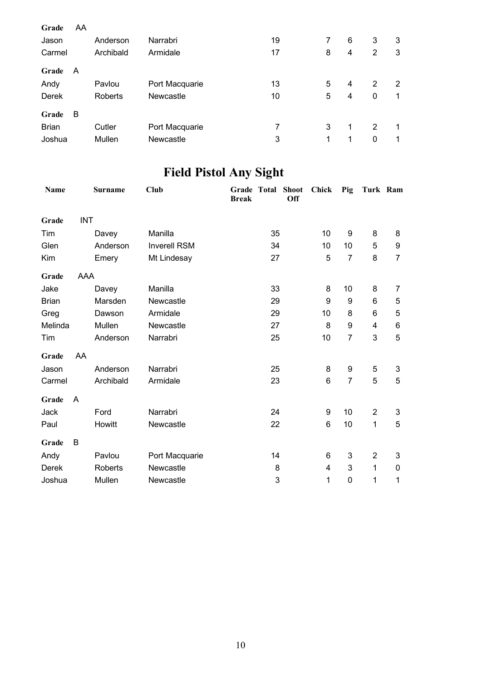| Grade        | AA |                |                  |    |   |   |   |   |
|--------------|----|----------------|------------------|----|---|---|---|---|
| Jason        |    | Anderson       | Narrabri         | 19 | 7 | 6 | 3 | 3 |
| Carmel       |    | Archibald      | Armidale         | 17 | 8 | 4 | 2 | 3 |
| Grade        | A  |                |                  |    |   |   |   |   |
| Andy         |    | Pavlou         | Port Macquarie   | 13 | 5 | 4 | 2 | 2 |
| Derek        |    | <b>Roberts</b> | <b>Newcastle</b> | 10 | 5 | 4 | 0 | 1 |
| Grade        | B  |                |                  |    |   |   |   |   |
| <b>Brian</b> |    | Cutler         | Port Macquarie   | 7  | 3 | 1 | 2 | 1 |
| Joshua       |    | Mullen         | Newcastle        | 3  | 1 | 1 | 0 | 1 |
|              |    |                |                  |    |   |   |   |   |

# **Field Pistol Any Sight**

| <b>Name</b>  |            | <b>Surname</b> | <b>Club</b>         | Grade Total<br><b>Break</b> |    | <b>Shoot</b><br><b>Off</b> | <b>Chick</b> | Pig              | Turk Ram       |                  |
|--------------|------------|----------------|---------------------|-----------------------------|----|----------------------------|--------------|------------------|----------------|------------------|
| Grade        | <b>INT</b> |                |                     |                             |    |                            |              |                  |                |                  |
| Tim          |            | Davey          | Manilla             |                             | 35 |                            | 10           | 9                | 8              | 8                |
| Glen         |            | Anderson       | <b>Inverell RSM</b> |                             | 34 |                            | 10           | 10               | 5              | $\boldsymbol{9}$ |
| Kim          |            | Emery          | Mt Lindesay         |                             | 27 |                            | 5            | $\overline{7}$   | 8              | $\overline{7}$   |
| Grade        | AAA        |                |                     |                             |    |                            |              |                  |                |                  |
| Jake         |            | Davey          | Manilla             |                             | 33 |                            | 8            | 10               | 8              | 7                |
| <b>Brian</b> |            | Marsden        | Newcastle           |                             | 29 |                            | 9            | 9                | 6              | 5                |
| Greg         |            | Dawson         | Armidale            |                             | 29 |                            | 10           | 8                | 6              | $\mathbf 5$      |
| Melinda      |            | Mullen         | Newcastle           |                             | 27 |                            | 8            | 9                | $\overline{4}$ | $6\phantom{1}6$  |
| Tim          |            | Anderson       | Narrabri            |                             | 25 |                            | 10           | $\overline{7}$   | 3              | 5                |
| Grade        | AA         |                |                     |                             |    |                            |              |                  |                |                  |
| Jason        |            | Anderson       | Narrabri            |                             | 25 |                            | 8            | $\boldsymbol{9}$ | 5              | $\mathfrak{B}$   |
| Carmel       |            | Archibald      | Armidale            |                             | 23 |                            | 6            | $\overline{7}$   | 5              | 5                |
| Grade        | A          |                |                     |                             |    |                            |              |                  |                |                  |
| Jack         |            | Ford           | Narrabri            |                             | 24 |                            | 9            | 10               | $\overline{2}$ | 3                |
| Paul         |            | Howitt         | Newcastle           |                             | 22 |                            | 6            | 10               | $\mathbf 1$    | 5                |
| Grade        | B          |                |                     |                             |    |                            |              |                  |                |                  |
| Andy         |            | Pavlou         | Port Macquarie      |                             | 14 |                            | 6            | 3                | $\overline{2}$ | 3                |
| Derek        |            | <b>Roberts</b> | Newcastle           |                             | 8  |                            | 4            | 3                | $\mathbf{1}$   | $\mathbf 0$      |
| Joshua       |            | Mullen         | Newcastle           |                             | 3  |                            | 1            | $\pmb{0}$        | 1              | 1                |